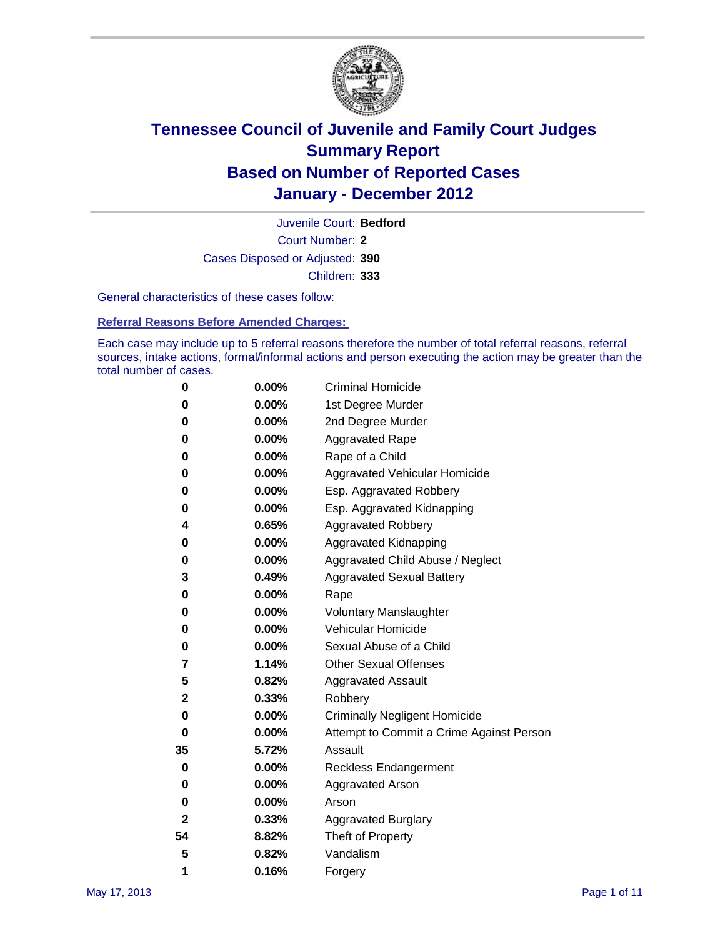

Court Number: **2** Juvenile Court: **Bedford** Cases Disposed or Adjusted: **390** Children: **333**

General characteristics of these cases follow:

**Referral Reasons Before Amended Charges:** 

Each case may include up to 5 referral reasons therefore the number of total referral reasons, referral sources, intake actions, formal/informal actions and person executing the action may be greater than the total number of cases.

| 0  | 0.00% | <b>Criminal Homicide</b>                 |
|----|-------|------------------------------------------|
| 0  | 0.00% | 1st Degree Murder                        |
| 0  | 0.00% | 2nd Degree Murder                        |
| 0  | 0.00% | <b>Aggravated Rape</b>                   |
| 0  | 0.00% | Rape of a Child                          |
| 0  | 0.00% | Aggravated Vehicular Homicide            |
| 0  | 0.00% | Esp. Aggravated Robbery                  |
| 0  | 0.00% | Esp. Aggravated Kidnapping               |
| 4  | 0.65% | <b>Aggravated Robbery</b>                |
| 0  | 0.00% | Aggravated Kidnapping                    |
| 0  | 0.00% | Aggravated Child Abuse / Neglect         |
| 3  | 0.49% | <b>Aggravated Sexual Battery</b>         |
| 0  | 0.00% | Rape                                     |
| 0  | 0.00% | <b>Voluntary Manslaughter</b>            |
| 0  | 0.00% | Vehicular Homicide                       |
| 0  | 0.00% | Sexual Abuse of a Child                  |
| 7  | 1.14% | <b>Other Sexual Offenses</b>             |
| 5  | 0.82% | <b>Aggravated Assault</b>                |
| 2  | 0.33% | Robbery                                  |
| 0  | 0.00% | <b>Criminally Negligent Homicide</b>     |
| 0  | 0.00% | Attempt to Commit a Crime Against Person |
| 35 | 5.72% | Assault                                  |
| 0  | 0.00% | <b>Reckless Endangerment</b>             |
| 0  | 0.00% | <b>Aggravated Arson</b>                  |
| 0  | 0.00% | Arson                                    |
| 2  | 0.33% | <b>Aggravated Burglary</b>               |
| 54 | 8.82% | Theft of Property                        |
| 5  | 0.82% | Vandalism                                |
| 1  | 0.16% | Forgery                                  |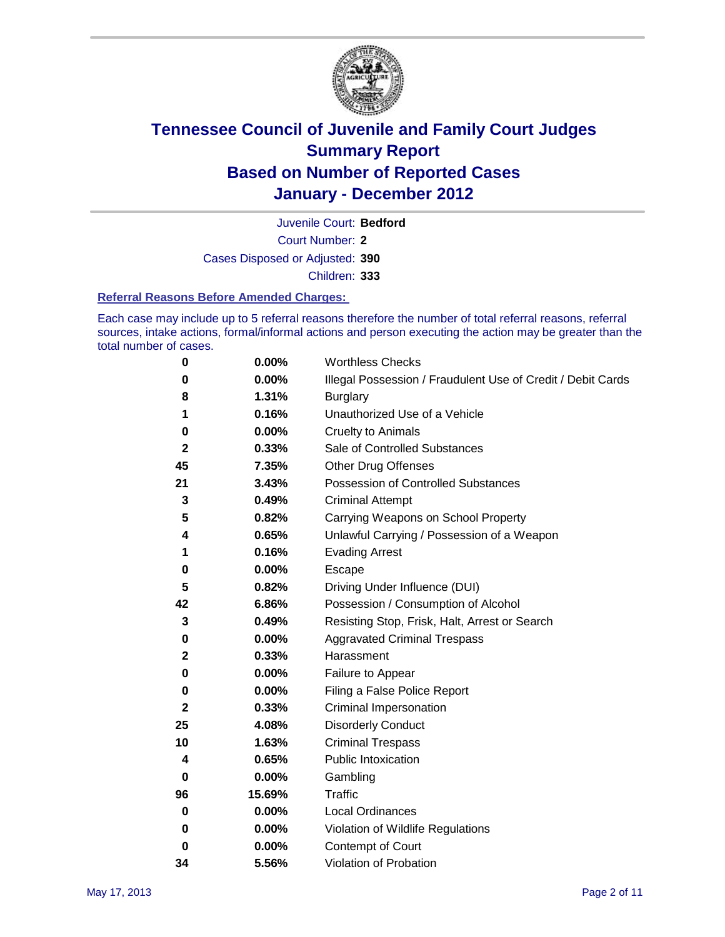

Court Number: **2** Juvenile Court: **Bedford** Cases Disposed or Adjusted: **390** Children: **333**

#### **Referral Reasons Before Amended Charges:**

Each case may include up to 5 referral reasons therefore the number of total referral reasons, referral sources, intake actions, formal/informal actions and person executing the action may be greater than the total number of cases.

| 0            | 0.00%  | <b>Worthless Checks</b>                                     |
|--------------|--------|-------------------------------------------------------------|
| 0            | 0.00%  | Illegal Possession / Fraudulent Use of Credit / Debit Cards |
| 8            | 1.31%  | <b>Burglary</b>                                             |
| 1            | 0.16%  | Unauthorized Use of a Vehicle                               |
| 0            | 0.00%  | <b>Cruelty to Animals</b>                                   |
| $\mathbf{2}$ | 0.33%  | Sale of Controlled Substances                               |
| 45           | 7.35%  | <b>Other Drug Offenses</b>                                  |
| 21           | 3.43%  | <b>Possession of Controlled Substances</b>                  |
| 3            | 0.49%  | <b>Criminal Attempt</b>                                     |
| 5            | 0.82%  | Carrying Weapons on School Property                         |
| 4            | 0.65%  | Unlawful Carrying / Possession of a Weapon                  |
| 1            | 0.16%  | <b>Evading Arrest</b>                                       |
| 0            | 0.00%  | Escape                                                      |
| 5            | 0.82%  | Driving Under Influence (DUI)                               |
| 42           | 6.86%  | Possession / Consumption of Alcohol                         |
| 3            | 0.49%  | Resisting Stop, Frisk, Halt, Arrest or Search               |
| 0            | 0.00%  | <b>Aggravated Criminal Trespass</b>                         |
| $\mathbf{2}$ | 0.33%  | Harassment                                                  |
| 0            | 0.00%  | Failure to Appear                                           |
| 0            | 0.00%  | Filing a False Police Report                                |
| 2            | 0.33%  | Criminal Impersonation                                      |
| 25           | 4.08%  | <b>Disorderly Conduct</b>                                   |
| 10           | 1.63%  | <b>Criminal Trespass</b>                                    |
| 4            | 0.65%  | <b>Public Intoxication</b>                                  |
| 0            | 0.00%  | Gambling                                                    |
| 96           | 15.69% | <b>Traffic</b>                                              |
| 0            | 0.00%  | <b>Local Ordinances</b>                                     |
| 0            | 0.00%  | Violation of Wildlife Regulations                           |
| 0            | 0.00%  | Contempt of Court                                           |
| 34           | 5.56%  | Violation of Probation                                      |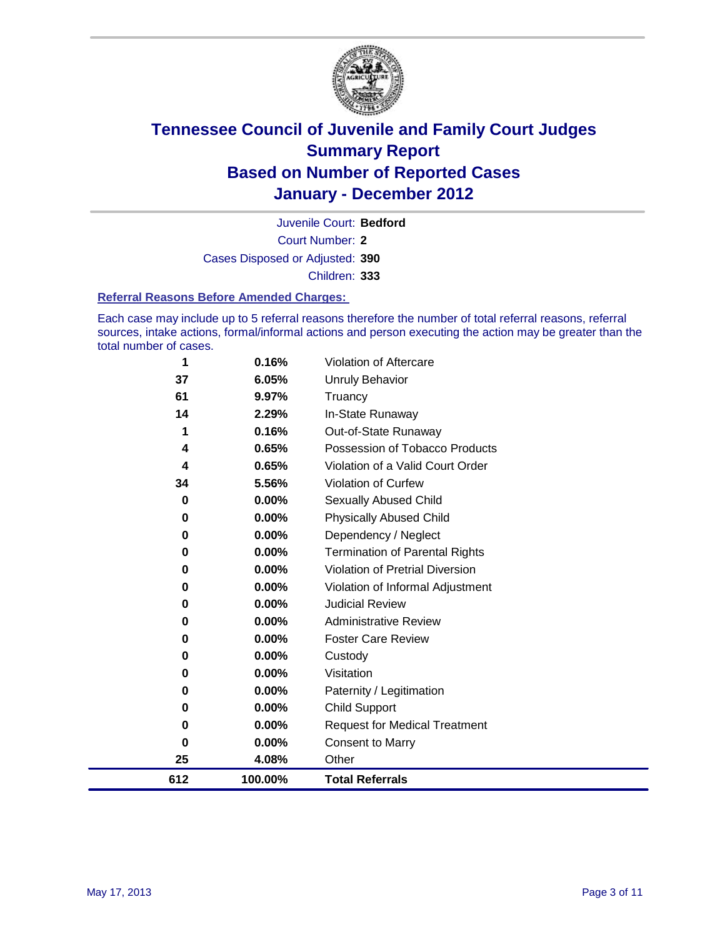

Court Number: **2** Juvenile Court: **Bedford** Cases Disposed or Adjusted: **390** Children: **333**

#### **Referral Reasons Before Amended Charges:**

Each case may include up to 5 referral reasons therefore the number of total referral reasons, referral sources, intake actions, formal/informal actions and person executing the action may be greater than the total number of cases.

| 1        | 0.16%    | Violation of Aftercare                 |
|----------|----------|----------------------------------------|
| 37       | 6.05%    | <b>Unruly Behavior</b>                 |
| 61       | 9.97%    | Truancy                                |
| 14       | 2.29%    | In-State Runaway                       |
| 1        | 0.16%    | Out-of-State Runaway                   |
| 4        | 0.65%    | Possession of Tobacco Products         |
| 4        | 0.65%    | Violation of a Valid Court Order       |
| 34       | 5.56%    | Violation of Curfew                    |
| 0        | 0.00%    | <b>Sexually Abused Child</b>           |
| $\bf{0}$ | 0.00%    | <b>Physically Abused Child</b>         |
| 0        | 0.00%    | Dependency / Neglect                   |
| 0        | 0.00%    | <b>Termination of Parental Rights</b>  |
| $\bf{0}$ | 0.00%    | <b>Violation of Pretrial Diversion</b> |
| 0        | 0.00%    | Violation of Informal Adjustment       |
| 0        | $0.00\%$ | <b>Judicial Review</b>                 |
| 0        | 0.00%    | <b>Administrative Review</b>           |
| 0        | 0.00%    | <b>Foster Care Review</b>              |
| 0        | 0.00%    | Custody                                |
| $\bf{0}$ | 0.00%    | Visitation                             |
| 0        | 0.00%    | Paternity / Legitimation               |
| 0        | 0.00%    | <b>Child Support</b>                   |
| 0        | 0.00%    | <b>Request for Medical Treatment</b>   |
| $\bf{0}$ | 0.00%    | <b>Consent to Marry</b>                |
| 25       | 4.08%    | Other                                  |
| 612      | 100.00%  | <b>Total Referrals</b>                 |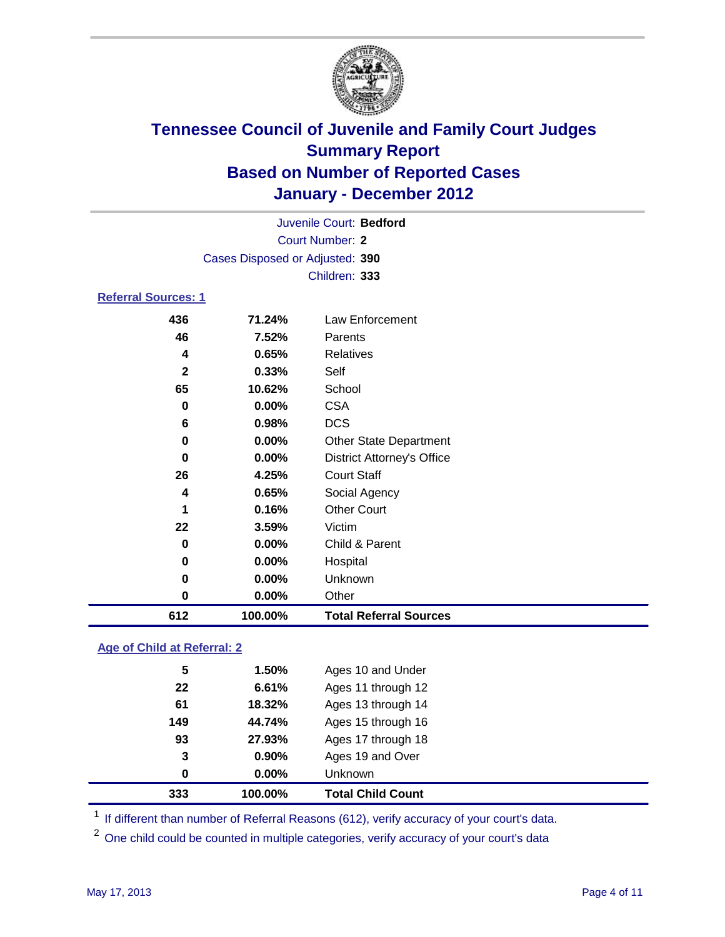

| Juvenile Court: Bedford    |                                 |                                   |  |  |
|----------------------------|---------------------------------|-----------------------------------|--|--|
|                            | <b>Court Number: 2</b>          |                                   |  |  |
|                            | Cases Disposed or Adjusted: 390 |                                   |  |  |
|                            | Children: 333                   |                                   |  |  |
| <b>Referral Sources: 1</b> |                                 |                                   |  |  |
| 436                        | 71.24%                          | Law Enforcement                   |  |  |
| 46                         | 7.52%                           | Parents                           |  |  |
| $\overline{\mathbf{4}}$    | 0.65%                           | <b>Relatives</b>                  |  |  |
| $\mathbf{2}$               | 0.33%                           | Self                              |  |  |
| 65                         | 10.62%                          | School                            |  |  |
| 0                          | 0.00%                           | <b>CSA</b>                        |  |  |
| 6                          | 0.98%                           | <b>DCS</b>                        |  |  |
| 0                          | 0.00%                           | Other State Department            |  |  |
| 0                          | 0.00%                           | <b>District Attorney's Office</b> |  |  |
| 26                         | 4.25%                           | <b>Court Staff</b>                |  |  |
| 4                          | 0.65%                           | Social Agency                     |  |  |
| 1                          | 0.16%                           | <b>Other Court</b>                |  |  |
| 22                         | 3.59%                           | Victim                            |  |  |
| 0                          | 0.00%                           | Child & Parent                    |  |  |
| 0                          | 0.00%                           | Hospital                          |  |  |
| 0                          | 0.00%                           | Unknown                           |  |  |
| $\bf{0}$                   | 0.00%                           | Other                             |  |  |
| 612                        | 100.00%                         | <b>Total Referral Sources</b>     |  |  |
|                            |                                 |                                   |  |  |

### **Age of Child at Referral: 2**

|     |          | <b>Total Child Count</b> |
|-----|----------|--------------------------|
| 0   | $0.00\%$ | <b>Unknown</b>           |
| 3   | 0.90%    | Ages 19 and Over         |
| 93  | 27.93%   | Ages 17 through 18       |
| 149 | 44.74%   | Ages 15 through 16       |
| 61  | 18.32%   | Ages 13 through 14       |
| 22  | 6.61%    | Ages 11 through 12       |
| 5   | 1.50%    | Ages 10 and Under        |
|     |          | 333<br>100.00%           |

<sup>1</sup> If different than number of Referral Reasons (612), verify accuracy of your court's data.

<sup>2</sup> One child could be counted in multiple categories, verify accuracy of your court's data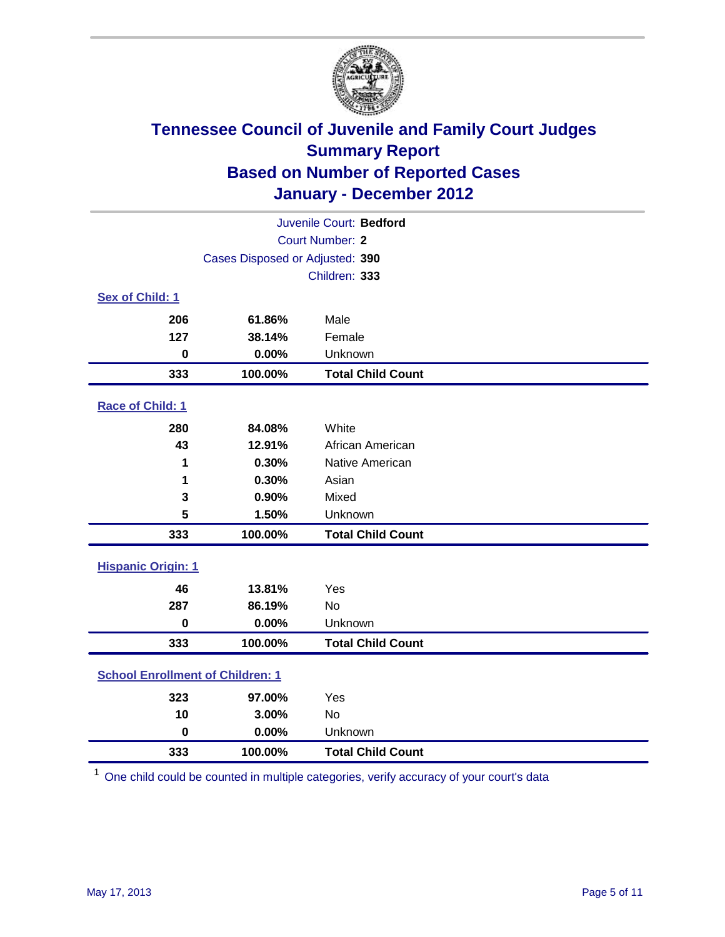

| Juvenile Court: Bedford                 |                                 |                          |  |  |
|-----------------------------------------|---------------------------------|--------------------------|--|--|
| <b>Court Number: 2</b>                  |                                 |                          |  |  |
|                                         | Cases Disposed or Adjusted: 390 |                          |  |  |
|                                         |                                 | Children: 333            |  |  |
| Sex of Child: 1                         |                                 |                          |  |  |
| 206                                     | 61.86%                          | Male                     |  |  |
| 127                                     | 38.14%                          | Female                   |  |  |
| 0                                       | 0.00%                           | Unknown                  |  |  |
| 333                                     | 100.00%                         | <b>Total Child Count</b> |  |  |
| Race of Child: 1                        |                                 |                          |  |  |
| 280                                     | 84.08%                          | White                    |  |  |
| 43                                      | 12.91%                          | African American         |  |  |
| 1                                       | 0.30%                           | Native American          |  |  |
| 1                                       | 0.30%                           | Asian                    |  |  |
| 3                                       | 0.90%                           | Mixed                    |  |  |
| 5                                       | 1.50%                           | Unknown                  |  |  |
| 333                                     | 100.00%                         | <b>Total Child Count</b> |  |  |
| <b>Hispanic Origin: 1</b>               |                                 |                          |  |  |
| 46                                      | 13.81%                          | Yes                      |  |  |
| 287                                     | 86.19%                          | No                       |  |  |
| $\bf{0}$                                | 0.00%                           | Unknown                  |  |  |
| 333                                     | 100.00%                         | <b>Total Child Count</b> |  |  |
| <b>School Enrollment of Children: 1</b> |                                 |                          |  |  |
| 323                                     | 97.00%                          | Yes                      |  |  |
| 10                                      | 3.00%                           | <b>No</b>                |  |  |
| $\mathbf 0$                             | 0.00%                           | Unknown                  |  |  |
| 333                                     | 100.00%                         | <b>Total Child Count</b> |  |  |

One child could be counted in multiple categories, verify accuracy of your court's data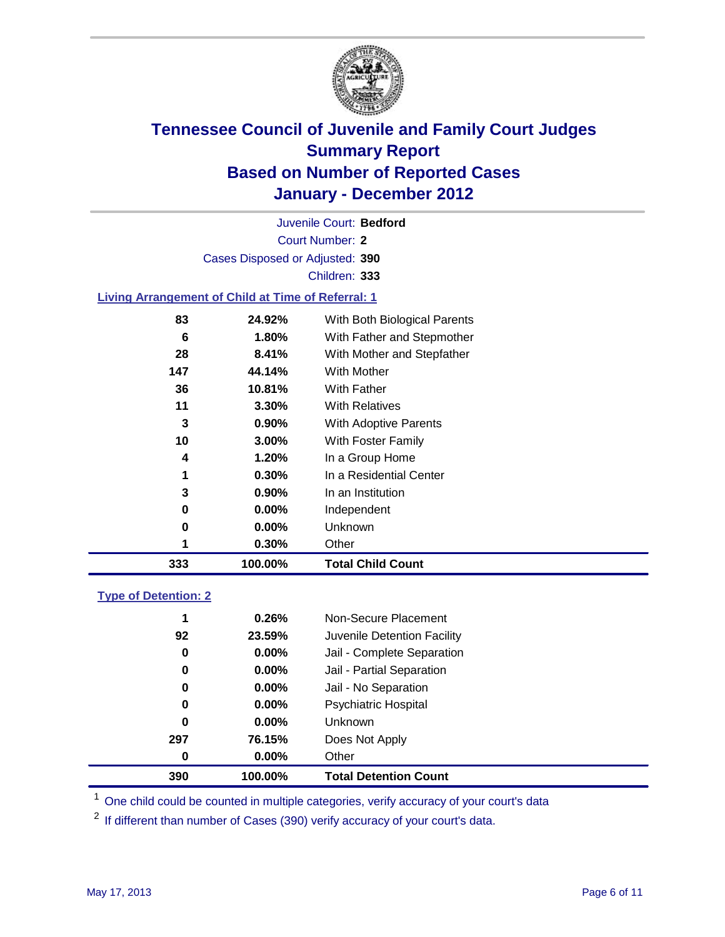

Court Number: **2** Juvenile Court: **Bedford** Cases Disposed or Adjusted: **390** Children: **333**

#### **Living Arrangement of Child at Time of Referral: 1**

| 333 | 100.00%  | <b>Total Child Count</b>     |
|-----|----------|------------------------------|
|     | 0.30%    | Other                        |
| 0   | $0.00\%$ | Unknown                      |
| 0   | $0.00\%$ | Independent                  |
| 3   | $0.90\%$ | In an Institution            |
| 1   | $0.30\%$ | In a Residential Center      |
| 4   | 1.20%    | In a Group Home              |
| 10  | $3.00\%$ | With Foster Family           |
| 3   | 0.90%    | With Adoptive Parents        |
| 11  | $3.30\%$ | <b>With Relatives</b>        |
| 36  | 10.81%   | With Father                  |
| 147 | 44.14%   | With Mother                  |
| 28  | 8.41%    | With Mother and Stepfather   |
| 6   | 1.80%    | With Father and Stepmother   |
| 83  | 24.92%   | With Both Biological Parents |

#### **Type of Detention: 2**

| 390 | 100.00%  | <b>Total Detention Count</b> |  |
|-----|----------|------------------------------|--|
| 0   | 0.00%    | Other                        |  |
| 297 | 76.15%   | Does Not Apply               |  |
| 0   | $0.00\%$ | Unknown                      |  |
| 0   | $0.00\%$ | Psychiatric Hospital         |  |
| 0   | 0.00%    | Jail - No Separation         |  |
| 0   | $0.00\%$ | Jail - Partial Separation    |  |
| 0   | $0.00\%$ | Jail - Complete Separation   |  |
| 92  | 23.59%   | Juvenile Detention Facility  |  |
| 1   | 0.26%    | Non-Secure Placement         |  |
|     |          |                              |  |

<sup>1</sup> One child could be counted in multiple categories, verify accuracy of your court's data

<sup>2</sup> If different than number of Cases (390) verify accuracy of your court's data.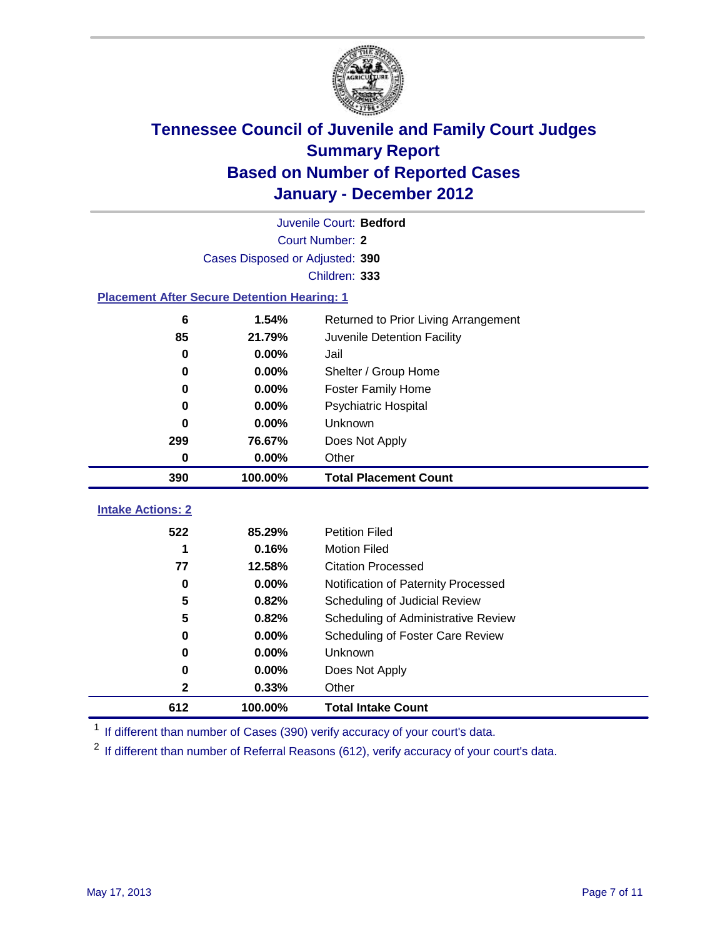

| Juvenile Court: Bedford                            |                                 |                                      |  |  |  |  |
|----------------------------------------------------|---------------------------------|--------------------------------------|--|--|--|--|
|                                                    | <b>Court Number: 2</b>          |                                      |  |  |  |  |
|                                                    | Cases Disposed or Adjusted: 390 |                                      |  |  |  |  |
|                                                    | Children: 333                   |                                      |  |  |  |  |
| <b>Placement After Secure Detention Hearing: 1</b> |                                 |                                      |  |  |  |  |
| 6                                                  | 1.54%                           | Returned to Prior Living Arrangement |  |  |  |  |
| 85                                                 | 21.79%                          | Juvenile Detention Facility          |  |  |  |  |
| $\bf{0}$                                           | 0.00%                           | Jail                                 |  |  |  |  |
| $\bf{0}$                                           | 0.00%                           | Shelter / Group Home                 |  |  |  |  |
| 0                                                  | 0.00%                           | <b>Foster Family Home</b>            |  |  |  |  |
| $\bf{0}$                                           | 0.00%                           | Psychiatric Hospital                 |  |  |  |  |
| U                                                  | 0.00%                           | Unknown                              |  |  |  |  |
| 299                                                | 76.67%                          | Does Not Apply                       |  |  |  |  |
| $\mathbf 0$                                        | 0.00%                           | Other                                |  |  |  |  |
| 390                                                | 100.00%                         | <b>Total Placement Count</b>         |  |  |  |  |
| <b>Intake Actions: 2</b>                           |                                 |                                      |  |  |  |  |
|                                                    |                                 |                                      |  |  |  |  |
| 522                                                | 85.29%                          | <b>Petition Filed</b>                |  |  |  |  |
| 1                                                  | 0.16%                           | <b>Motion Filed</b>                  |  |  |  |  |
| 77                                                 | 12.58%                          | <b>Citation Processed</b>            |  |  |  |  |
| 0                                                  | 0.00%                           | Notification of Paternity Processed  |  |  |  |  |
| 5                                                  | 0.82%                           | Scheduling of Judicial Review        |  |  |  |  |
| 5                                                  | 0.82%                           | Scheduling of Administrative Review  |  |  |  |  |
| 0                                                  | 0.00%                           | Scheduling of Foster Care Review     |  |  |  |  |
| $\bf{0}$                                           | 0.00%                           | <b>Unknown</b>                       |  |  |  |  |
| 0                                                  | 0.00%                           | Does Not Apply                       |  |  |  |  |
| 2                                                  | 0.33%                           | Other                                |  |  |  |  |
| 612                                                | 100.00%                         | <b>Total Intake Count</b>            |  |  |  |  |

<sup>1</sup> If different than number of Cases (390) verify accuracy of your court's data.

<sup>2</sup> If different than number of Referral Reasons (612), verify accuracy of your court's data.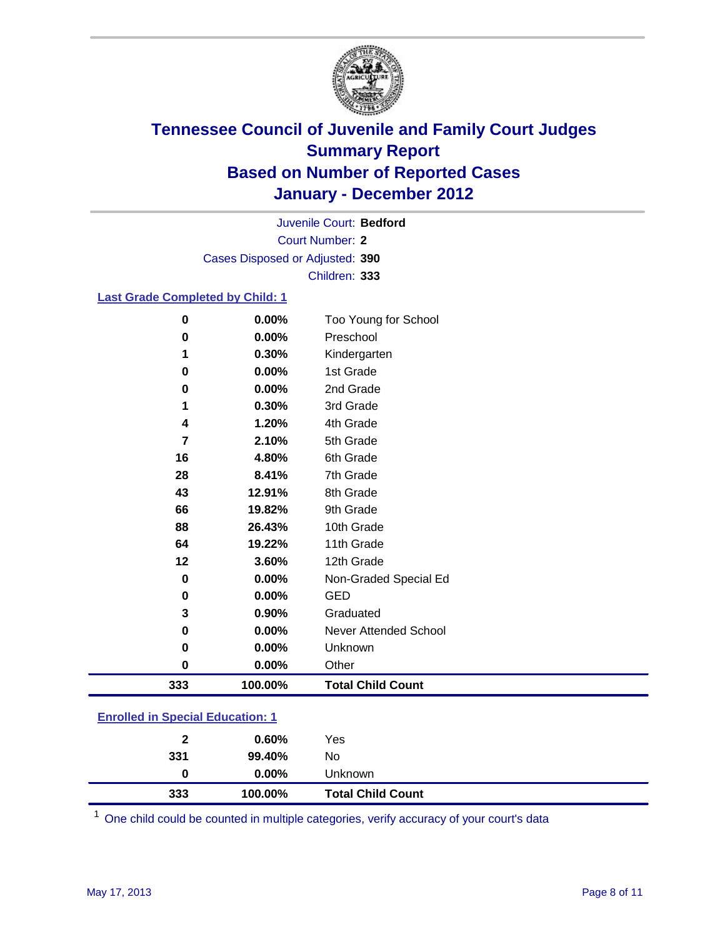

Court Number: **2** Juvenile Court: **Bedford** Cases Disposed or Adjusted: **390** Children: **333**

#### **Last Grade Completed by Child: 1**

| $\bf{0}$ | 0.00%   | Too Young for School     |
|----------|---------|--------------------------|
| 0        | 0.00%   | Preschool                |
| 1        | 0.30%   | Kindergarten             |
| 0        | 0.00%   | 1st Grade                |
| 0        | 0.00%   | 2nd Grade                |
| 1        | 0.30%   | 3rd Grade                |
| 4        | 1.20%   | 4th Grade                |
| 7        | 2.10%   | 5th Grade                |
| 16       | 4.80%   | 6th Grade                |
| 28       | 8.41%   | 7th Grade                |
| 43       | 12.91%  | 8th Grade                |
| 66       | 19.82%  | 9th Grade                |
| 88       | 26.43%  | 10th Grade               |
| 64       | 19.22%  | 11th Grade               |
| 12       | 3.60%   | 12th Grade               |
| $\bf{0}$ | 0.00%   | Non-Graded Special Ed    |
| $\bf{0}$ | 0.00%   | <b>GED</b>               |
| 3        | 0.90%   | Graduated                |
| 0        | 0.00%   | Never Attended School    |
| 0        | 0.00%   | Unknown                  |
| $\bf{0}$ | 0.00%   | Other                    |
| 333      | 100.00% | <b>Total Child Count</b> |

### **Enrolled in Special Education: 1**

One child could be counted in multiple categories, verify accuracy of your court's data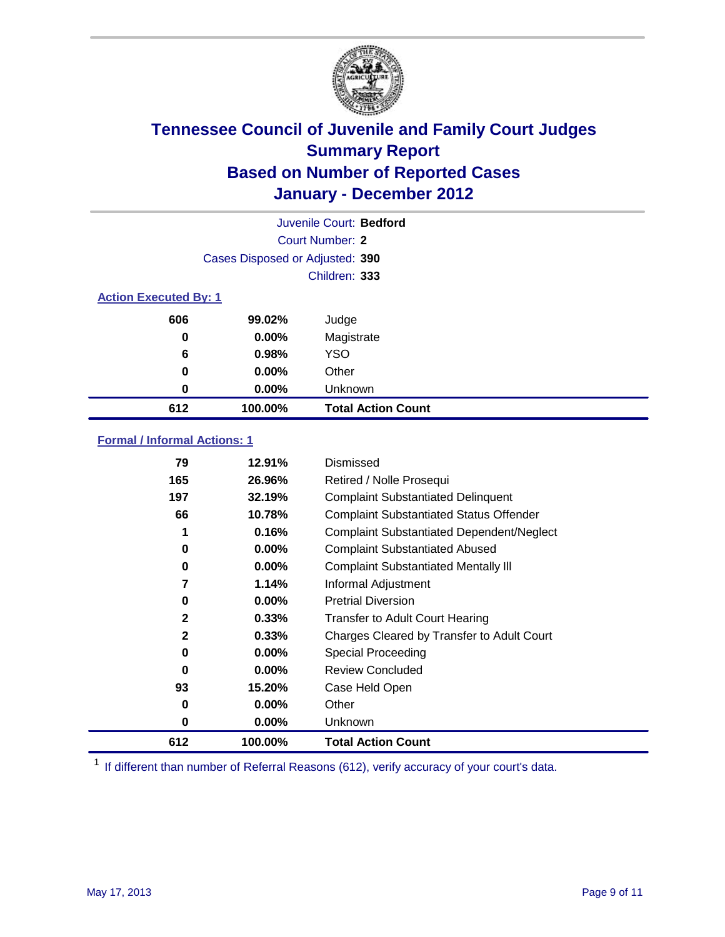

| Juvenile Court: Bedford      |                                 |                           |  |  |
|------------------------------|---------------------------------|---------------------------|--|--|
|                              | Court Number: 2                 |                           |  |  |
|                              | Cases Disposed or Adjusted: 390 |                           |  |  |
|                              | Children: 333                   |                           |  |  |
| <b>Action Executed By: 1</b> |                                 |                           |  |  |
| 606                          | 99.02%                          | Judge                     |  |  |
| 0                            | 0.00%                           | Magistrate                |  |  |
| 6                            | 0.98%                           | <b>YSO</b>                |  |  |
| 0                            | 0.00%                           | Other                     |  |  |
| 0                            | 0.00%                           | Unknown                   |  |  |
| 612                          | 100.00%                         | <b>Total Action Count</b> |  |  |

### **Formal / Informal Actions: 1**

| 79           | 12.91%   | Dismissed                                        |
|--------------|----------|--------------------------------------------------|
| 165          | 26.96%   | Retired / Nolle Prosequi                         |
| 197          | 32.19%   | <b>Complaint Substantiated Delinquent</b>        |
| 66           | 10.78%   | <b>Complaint Substantiated Status Offender</b>   |
| 1            | 0.16%    | <b>Complaint Substantiated Dependent/Neglect</b> |
| 0            | $0.00\%$ | <b>Complaint Substantiated Abused</b>            |
| 0            | 0.00%    | <b>Complaint Substantiated Mentally III</b>      |
| 7            | 1.14%    | Informal Adjustment                              |
| 0            | $0.00\%$ | <b>Pretrial Diversion</b>                        |
| $\mathbf{2}$ | 0.33%    | <b>Transfer to Adult Court Hearing</b>           |
| $\mathbf{2}$ | 0.33%    | Charges Cleared by Transfer to Adult Court       |
| 0            | $0.00\%$ | Special Proceeding                               |
| $\bf{0}$     | $0.00\%$ | <b>Review Concluded</b>                          |
| 93           | 15.20%   | Case Held Open                                   |
| 0            | $0.00\%$ | Other                                            |
| 0            | $0.00\%$ | <b>Unknown</b>                                   |
| 612          | 100.00%  | <b>Total Action Count</b>                        |

<sup>1</sup> If different than number of Referral Reasons (612), verify accuracy of your court's data.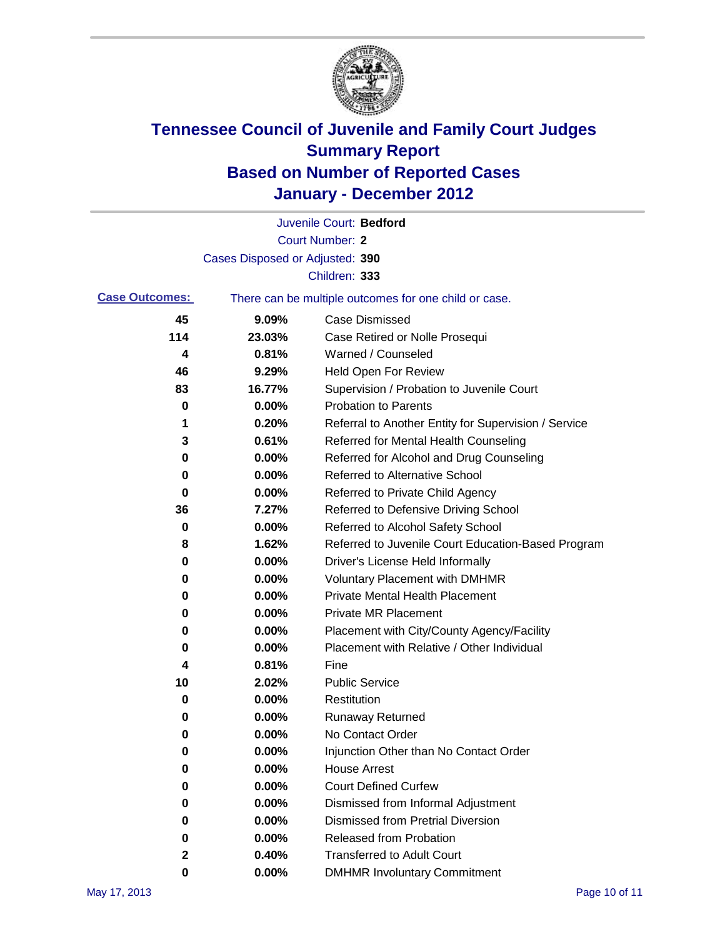

|                       |                                 | Juvenile Court: Bedford                               |
|-----------------------|---------------------------------|-------------------------------------------------------|
|                       |                                 | <b>Court Number: 2</b>                                |
|                       | Cases Disposed or Adjusted: 390 |                                                       |
|                       |                                 | Children: 333                                         |
| <b>Case Outcomes:</b> |                                 | There can be multiple outcomes for one child or case. |
| 45                    | 9.09%                           | <b>Case Dismissed</b>                                 |
| 114                   | 23.03%                          | Case Retired or Nolle Prosequi                        |
| 4                     | 0.81%                           | Warned / Counseled                                    |
| 46                    | 9.29%                           | Held Open For Review                                  |
| 83                    | 16.77%                          | Supervision / Probation to Juvenile Court             |
| 0                     | 0.00%                           | <b>Probation to Parents</b>                           |
| 1                     | 0.20%                           | Referral to Another Entity for Supervision / Service  |
| 3                     | 0.61%                           | Referred for Mental Health Counseling                 |
| 0                     | 0.00%                           | Referred for Alcohol and Drug Counseling              |
| 0                     | 0.00%                           | <b>Referred to Alternative School</b>                 |
| 0                     | 0.00%                           | Referred to Private Child Agency                      |
| 36                    | 7.27%                           | Referred to Defensive Driving School                  |
| 0                     | 0.00%                           | Referred to Alcohol Safety School                     |
| 8                     | 1.62%                           | Referred to Juvenile Court Education-Based Program    |
| 0                     | 0.00%                           | Driver's License Held Informally                      |
| 0                     | 0.00%                           | <b>Voluntary Placement with DMHMR</b>                 |
| 0                     | 0.00%                           | <b>Private Mental Health Placement</b>                |
| 0                     | 0.00%                           | <b>Private MR Placement</b>                           |
| 0                     | 0.00%                           | Placement with City/County Agency/Facility            |
| 0                     | 0.00%                           | Placement with Relative / Other Individual            |
| 4                     | 0.81%                           | Fine                                                  |
| 10                    | 2.02%                           | <b>Public Service</b>                                 |
| 0                     | 0.00%                           | Restitution                                           |
| 0                     | 0.00%                           | <b>Runaway Returned</b>                               |
| 0                     | 0.00%                           | No Contact Order                                      |
| $\pmb{0}$             | 0.00%                           | Injunction Other than No Contact Order                |
| 0                     | 0.00%                           | <b>House Arrest</b>                                   |
| 0                     | 0.00%                           | <b>Court Defined Curfew</b>                           |
| 0                     | 0.00%                           | Dismissed from Informal Adjustment                    |
| 0                     | 0.00%                           | <b>Dismissed from Pretrial Diversion</b>              |
| 0                     | 0.00%                           | Released from Probation                               |
| 2                     | 0.40%                           | <b>Transferred to Adult Court</b>                     |
| 0                     | 0.00%                           | <b>DMHMR Involuntary Commitment</b>                   |